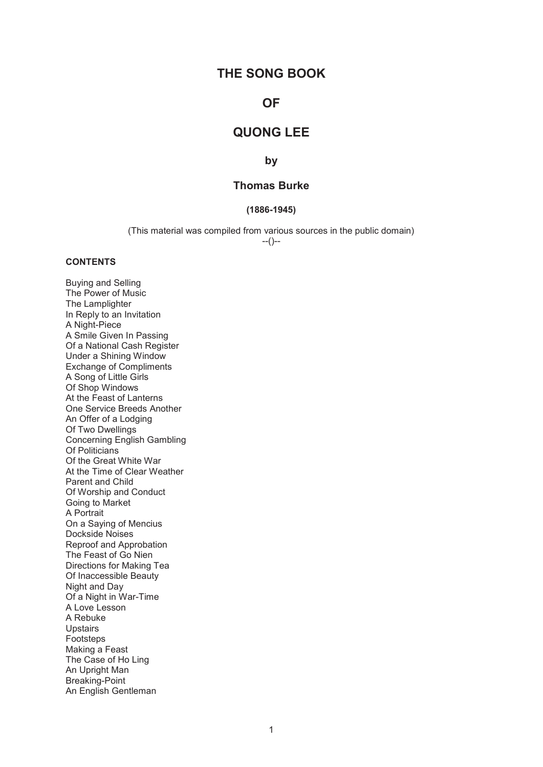# **THE SONG BOOK**

# **OF**

# **QUONG LEE**

# **by**

# **Thomas Burke**

# **(1886-1945)**

(This material was compiled from various sources in the public domain)

--()--

# **CONTENTS**

Buying and Selling The Power of Music The Lamplighter In Reply to an Invitation A Night-Piece A Smile Given In Passing Of a National Cash Register Under a Shining Window Exchange of Compliments A Song of Little Girls Of Shop Windows At the Feast of Lanterns One Service Breeds Another An Offer of a Lodging Of Two Dwellings Concerning English Gambling Of Politicians Of the Great White War At the Time of Clear Weather Parent and Child Of Worship and Conduct Going to Market A Portrait On a Saying of Mencius Dockside Noises Reproof and Approbation The Feast of Go Nien Directions for Making Tea Of Inaccessible Beauty Night and Day Of a Night in War-Time A Love Lesson A Rebuke Upstairs Footsteps Making a Feast The Case of Ho Ling An Upright Man Breaking-Point An English Gentleman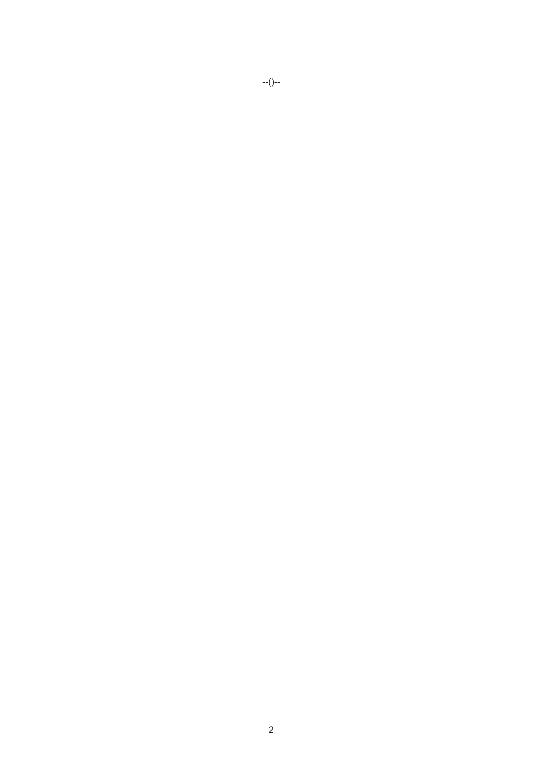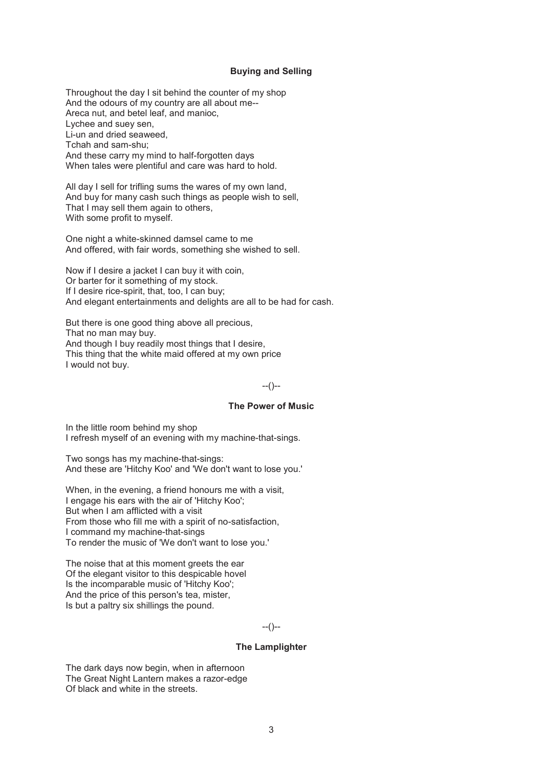# **Buying and Selling**

Throughout the day I sit behind the counter of my shop And the odours of my country are all about me-- Areca nut, and betel leaf, and manioc, Lychee and suey sen, Li-un and dried seaweed, Tchah and sam-shu; And these carry my mind to half-forgotten days When tales were plentiful and care was hard to hold.

All day I sell for trifling sums the wares of my own land, And buy for many cash such things as people wish to sell, That I may sell them again to others, With some profit to myself.

One night a white-skinned damsel came to me And offered, with fair words, something she wished to sell.

Now if I desire a jacket I can buy it with coin, Or barter for it something of my stock. If I desire rice-spirit, that, too, I can buy; And elegant entertainments and delights are all to be had for cash.

But there is one good thing above all precious, That no man may buy. And though I buy readily most things that I desire, This thing that the white maid offered at my own price I would not buy.

### $-(-)$

#### **The Power of Music**

In the little room behind my shop I refresh myself of an evening with my machine-that-sings.

Two songs has my machine-that-sings: And these are 'Hitchy Koo' and 'We don't want to lose you.'

When, in the evening, a friend honours me with a visit, I engage his ears with the air of 'Hitchy Koo'; But when I am afflicted with a visit From those who fill me with a spirit of no-satisfaction, I command my machine-that-sings To render the music of 'We don't want to lose you.'

The noise that at this moment greets the ear Of the elegant visitor to this despicable hovel Is the incomparable music of 'Hitchy Koo'; And the price of this person's tea, mister, Is but a paltry six shillings the pound.

--()--

# **The Lamplighter**

The dark days now begin, when in afternoon The Great Night Lantern makes a razor-edge Of black and white in the streets.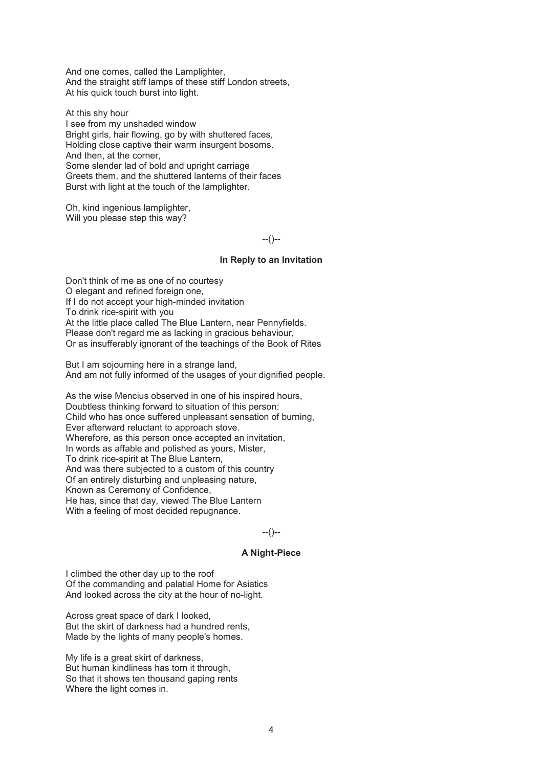And one comes, called the Lamplighter, And the straight stiff lamps of these stiff London streets, At his quick touch burst into light.

At this shy hour I see from my unshaded window Bright girls, hair flowing, go by with shuttered faces, Holding close captive their warm insurgent bosoms. And then, at the corner, Some slender lad of bold and upright carriage Greets them, and the shuttered lanterns of their faces Burst with light at the touch of the lamplighter.

Oh, kind ingenious lamplighter, Will you please step this way?

--()--

# **In Reply to an Invitation**

Don't think of me as one of no courtesy O elegant and refined foreign one, If I do not accept your high-minded invitation To drink rice-spirit with you At the little place called The Blue Lantern, near Pennyfields. Please don't regard me as lacking in gracious behaviour, Or as insufferably ignorant of the teachings of the Book of Rites

But I am sojourning here in a strange land. And am not fully informed of the usages of your dignified people.

As the wise Mencius observed in one of his inspired hours, Doubtless thinking forward to situation of this person: Child who has once suffered unpleasant sensation of burning, Ever afterward reluctant to approach stove. Wherefore, as this person once accepted an invitation, In words as affable and polished as yours, Mister, To drink rice-spirit at The Blue Lantern, And was there subjected to a custom of this country Of an entirely disturbing and unpleasing nature, Known as Ceremony of Confidence, He has, since that day, viewed The Blue Lantern With a feeling of most decided repugnance.

#### --()--

# **A Night-Piece**

I climbed the other day up to the roof Of the commanding and palatial Home for Asiatics And looked across the city at the hour of no-light.

Across great space of dark I looked, But the skirt of darkness had a hundred rents, Made by the lights of many people's homes.

My life is a great skirt of darkness, But human kindliness has torn it through, So that it shows ten thousand gaping rents Where the light comes in.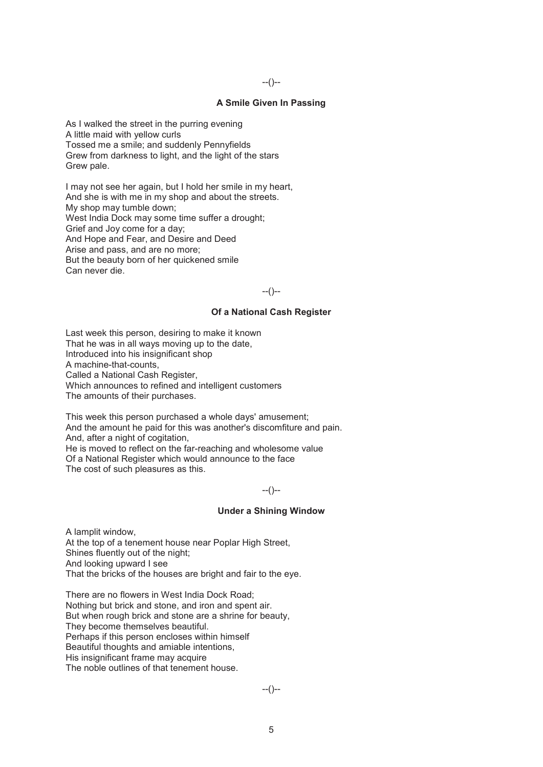#### **A Smile Given In Passing**

--()--

As I walked the street in the purring evening A little maid with yellow curls Tossed me a smile; and suddenly Pennyfields Grew from darkness to light, and the light of the stars Grew pale.

I may not see her again, but I hold her smile in my heart, And she is with me in my shop and about the streets. My shop may tumble down; West India Dock may some time suffer a drought; Grief and Joy come for a day; And Hope and Fear, and Desire and Deed Arise and pass, and are no more; But the beauty born of her quickened smile Can never die.

--()--

#### **Of a National Cash Register**

Last week this person, desiring to make it known That he was in all ways moving up to the date, Introduced into his insignificant shop A machine-that-counts, Called a National Cash Register, Which announces to refined and intelligent customers The amounts of their purchases.

This week this person purchased a whole days' amusement; And the amount he paid for this was another's discomfiture and pain. And, after a night of cogitation, He is moved to reflect on the far-reaching and wholesome value Of a National Register which would announce to the face The cost of such pleasures as this.

 $-(-)$ 

#### **Under a Shining Window**

A lamplit window, At the top of a tenement house near Poplar High Street, Shines fluently out of the night; And looking upward I see That the bricks of the houses are bright and fair to the eye.

There are no flowers in West India Dock Road; Nothing but brick and stone, and iron and spent air. But when rough brick and stone are a shrine for beauty, They become themselves beautiful. Perhaps if this person encloses within himself Beautiful thoughts and amiable intentions, His insignificant frame may acquire The noble outlines of that tenement house.

--()--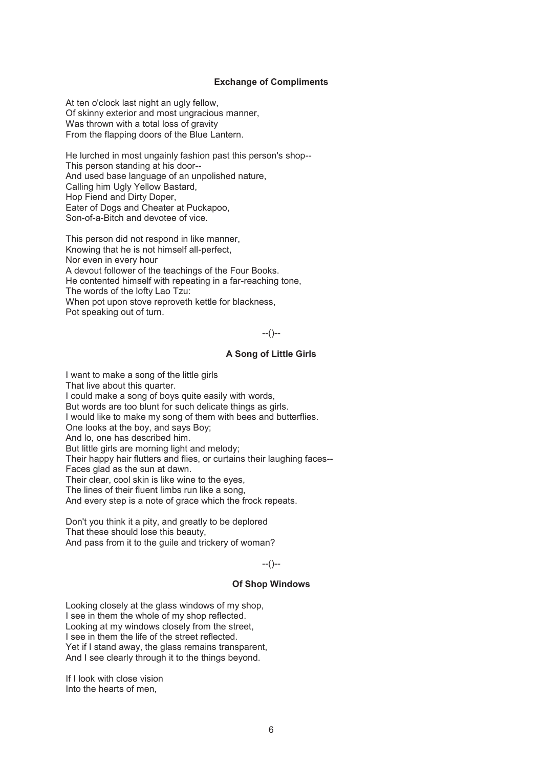## **Exchange of Compliments**

At ten o'clock last night an ugly fellow, Of skinny exterior and most ungracious manner, Was thrown with a total loss of gravity From the flapping doors of the Blue Lantern.

He lurched in most ungainly fashion past this person's shop-- This person standing at his door-- And used base language of an unpolished nature, Calling him Ugly Yellow Bastard, Hop Fiend and Dirty Doper, Eater of Dogs and Cheater at Puckapoo, Son-of-a-Bitch and devotee of vice.

This person did not respond in like manner, Knowing that he is not himself all-perfect, Nor even in every hour A devout follower of the teachings of the Four Books. He contented himself with repeating in a far-reaching tone, The words of the lofty Lao Tzu: When pot upon stove reproveth kettle for blackness, Pot speaking out of turn.

# --()--

# **A Song of Little Girls**

I want to make a song of the little girls That live about this quarter. I could make a song of boys quite easily with words, But words are too blunt for such delicate things as girls. I would like to make my song of them with bees and butterflies. One looks at the boy, and says Boy; And lo, one has described him. But little girls are morning light and melody; Their happy hair flutters and flies, or curtains their laughing faces-- Faces glad as the sun at dawn. Their clear, cool skin is like wine to the eyes, The lines of their fluent limbs run like a song, And every step is a note of grace which the frock repeats.

Don't you think it a pity, and greatly to be deplored That these should lose this beauty, And pass from it to the guile and trickery of woman?

--()--

#### **Of Shop Windows**

Looking closely at the glass windows of my shop, I see in them the whole of my shop reflected. Looking at my windows closely from the street, I see in them the life of the street reflected. Yet if I stand away, the glass remains transparent, And I see clearly through it to the things beyond.

If I look with close vision Into the hearts of men,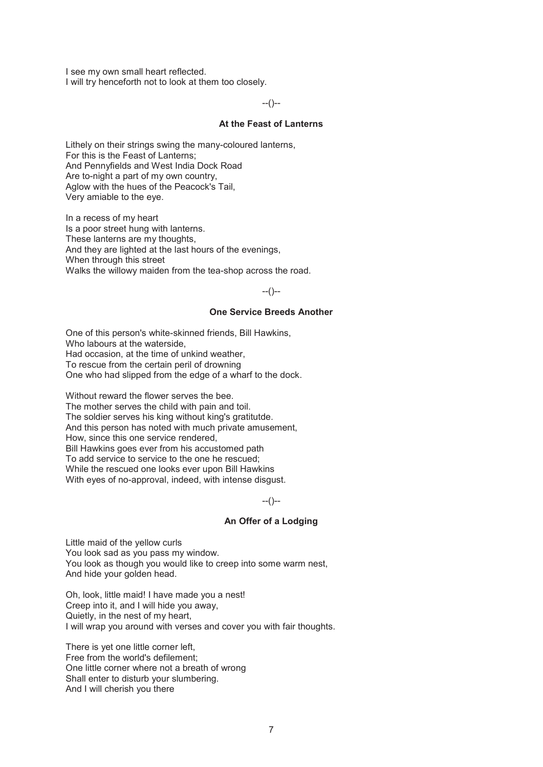I see my own small heart reflected. I will try henceforth not to look at them too closely.

 $-(-)$ 

#### **At the Feast of Lanterns**

Lithely on their strings swing the many-coloured lanterns, For this is the Feast of Lanterns; And Pennyfields and West India Dock Road Are to-night a part of my own country, Aglow with the hues of the Peacock's Tail, Very amiable to the eye.

In a recess of my heart Is a poor street hung with lanterns. These lanterns are my thoughts, And they are lighted at the last hours of the evenings, When through this street Walks the willowy maiden from the tea-shop across the road.

--()--

#### **One Service Breeds Another**

One of this person's white-skinned friends, Bill Hawkins, Who labours at the waterside, Had occasion, at the time of unkind weather, To rescue from the certain peril of drowning One who had slipped from the edge of a wharf to the dock.

Without reward the flower serves the bee. The mother serves the child with pain and toil. The soldier serves his king without king's gratitutde. And this person has noted with much private amusement, How, since this one service rendered, Bill Hawkins goes ever from his accustomed path To add service to service to the one he rescued; While the rescued one looks ever upon Bill Hawkins With eyes of no-approval, indeed, with intense disgust.

--()--

### **An Offer of a Lodging**

Little maid of the yellow curls You look sad as you pass my window. You look as though you would like to creep into some warm nest, And hide your golden head.

Oh, look, little maid! I have made you a nest! Creep into it, and I will hide you away, Quietly, in the nest of my heart, I will wrap you around with verses and cover you with fair thoughts.

There is yet one little corner left, Free from the world's defilement; One little corner where not a breath of wrong Shall enter to disturb your slumbering. And I will cherish you there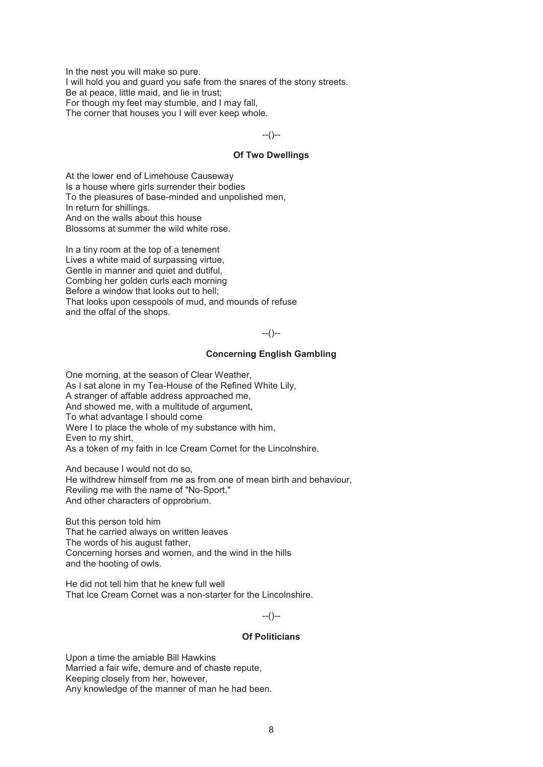In the nest you will make so pure. I will hold you and guard you safe from the snares of the stony streets. Be at peace, little maid, and lie in trust; For though my feet may stumble, and I may fall, The corner that houses you I will ever keep whole.

# $-(-)$

# **Of Two Dwellings**

At the lower end of Limehouse Causeway Is a house where girls surrender their bodies To the pleasures of base-minded and unpolished men, In return for shillings. And on the walls about this house Blossoms at summer the wild white rose.

In a tiny room at the top of a tenement Lives a white maid of surpassing virtue, Gentle in manner and quiet and dutiful, Combing her golden curls each morning Before a window that looks out to hell; That looks upon cesspools of mud, and mounds of refuse and the offal of the shops.

--()--

# **Concerning English Gambling**

One morning, at the season of Clear Weather, As I sat alone in my Tea-House of the Refined White Lily, A stranger of affable address approached me, And showed me, with a multitude of argument, To what advantage I should come Were I to place the whole of my substance with him. Even to my shirt, As a token of my faith in Ice Cream Cornet for the Lincolnshire.

And because I would not do so, He withdrew himself from me as from one of mean birth and behaviour, Reviling me with the name of "No-Sport," And other characters of opprobrium.

But this person told him That he carried always on written leaves The words of his august father, Concerning horses and women, and the wind in the hills and the hooting of owls.

He did not tell him that he knew full well That Ice Cream Cornet was a non-starter for the Lincolnshire.

 $-(-)$ 

#### **Of Politicians**

Upon a time the amiable Bill Hawkins Married a fair wife, demure and of chaste repute, Keeping closely from her, however, Any knowledge of the manner of man he had been.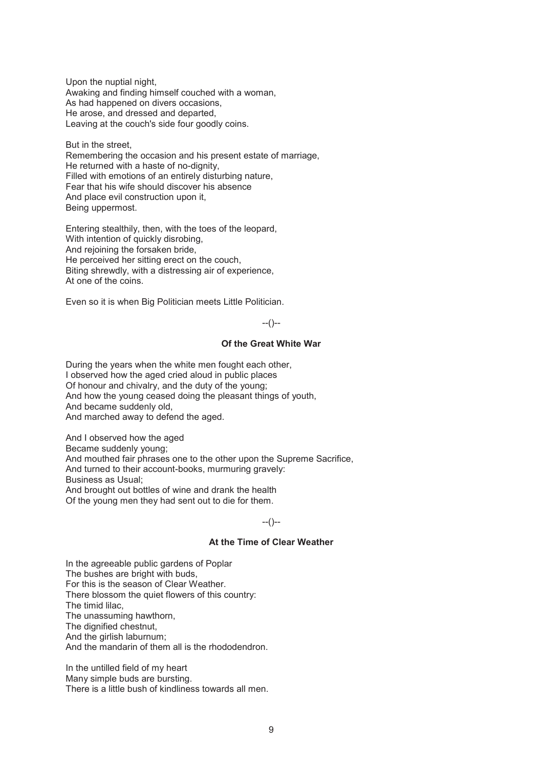Upon the nuptial night, Awaking and finding himself couched with a woman, As had happened on divers occasions, He arose, and dressed and departed, Leaving at the couch's side four goodly coins.

But in the street, Remembering the occasion and his present estate of marriage, He returned with a haste of no-dignity, Filled with emotions of an entirely disturbing nature, Fear that his wife should discover his absence And place evil construction upon it, Being uppermost.

Entering stealthily, then, with the toes of the leopard, With intention of quickly disrobing, And rejoining the forsaken bride, He perceived her sitting erect on the couch, Biting shrewdly, with a distressing air of experience, At one of the coins.

Even so it is when Big Politician meets Little Politician.

--()--

# **Of the Great White War**

During the years when the white men fought each other, I observed how the aged cried aloud in public places Of honour and chivalry, and the duty of the young; And how the young ceased doing the pleasant things of youth, And became suddenly old, And marched away to defend the aged.

And I observed how the aged Became suddenly young; And mouthed fair phrases one to the other upon the Supreme Sacrifice, And turned to their account-books, murmuring gravely: Business as Usual; And brought out bottles of wine and drank the health Of the young men they had sent out to die for them.

### $-(-)$

# **At the Time of Clear Weather**

In the agreeable public gardens of Poplar The bushes are bright with buds, For this is the season of Clear Weather. There blossom the quiet flowers of this country: The timid lilac, The unassuming hawthorn, The dignified chestnut, And the girlish laburnum; And the mandarin of them all is the rhododendron.

In the untilled field of my heart Many simple buds are bursting. There is a little bush of kindliness towards all men.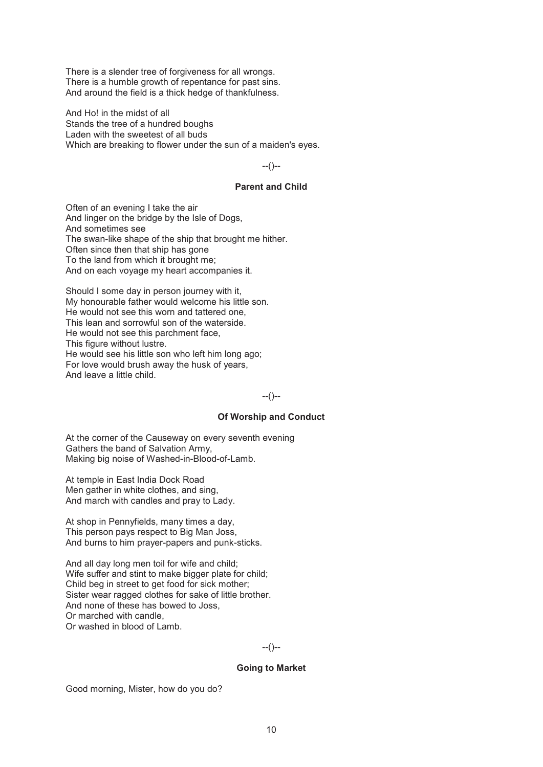There is a slender tree of forgiveness for all wrongs. There is a humble growth of repentance for past sins. And around the field is a thick hedge of thankfulness.

And Ho! in the midst of all Stands the tree of a hundred boughs Laden with the sweetest of all buds Which are breaking to flower under the sun of a maiden's eyes.

 $-(-)$ 

# **Parent and Child**

Often of an evening I take the air And linger on the bridge by the Isle of Dogs, And sometimes see The swan-like shape of the ship that brought me hither. Often since then that ship has gone To the land from which it brought me; And on each voyage my heart accompanies it.

Should I some day in person journey with it, My honourable father would welcome his little son. He would not see this worn and tattered one, This lean and sorrowful son of the waterside. He would not see this parchment face, This figure without lustre. He would see his little son who left him long ago; For love would brush away the husk of years, And leave a little child.

 $-(-)$ 

#### **Of Worship and Conduct**

At the corner of the Causeway on every seventh evening Gathers the band of Salvation Army, Making big noise of Washed-in-Blood-of-Lamb.

At temple in East India Dock Road Men gather in white clothes, and sing, And march with candles and pray to Lady.

At shop in Pennyfields, many times a day, This person pays respect to Big Man Joss, And burns to him prayer-papers and punk-sticks.

And all day long men toil for wife and child; Wife suffer and stint to make bigger plate for child; Child beg in street to get food for sick mother; Sister wear ragged clothes for sake of little brother. And none of these has bowed to Joss, Or marched with candle, Or washed in blood of Lamb.

# $-(-)$

### **Going to Market**

Good morning, Mister, how do you do?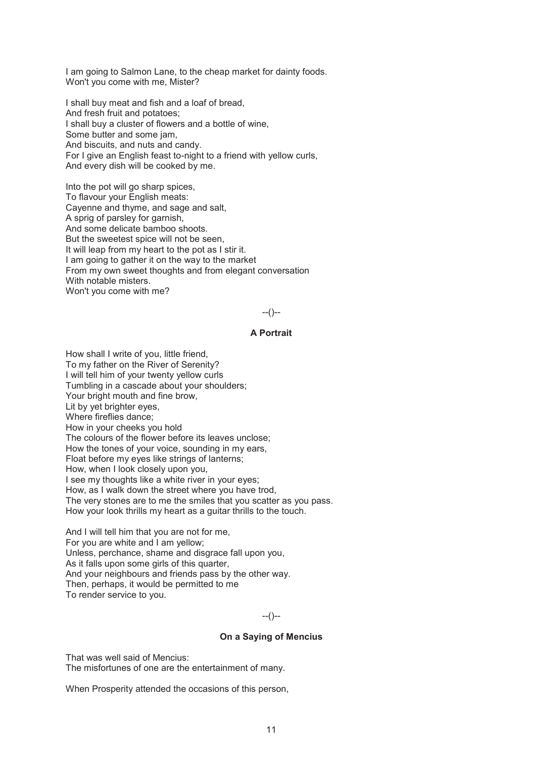I am going to Salmon Lane, to the cheap market for dainty foods. Won't you come with me, Mister?

I shall buy meat and fish and a loaf of bread, And fresh fruit and potatoes; I shall buy a cluster of flowers and a bottle of wine, Some butter and some jam, And biscuits, and nuts and candy. For I give an English feast to-night to a friend with yellow curls, And every dish will be cooked by me.

Into the pot will go sharp spices, To flavour your English meats: Cayenne and thyme, and sage and salt, A sprig of parsley for garnish, And some delicate bamboo shoots. But the sweetest spice will not be seen, It will leap from my heart to the pot as I stir it. I am going to gather it on the way to the market From my own sweet thoughts and from elegant conversation With notable misters. Won't you come with me?

--()--

# **A Portrait**

How shall I write of you, little friend, To my father on the River of Serenity? I will tell him of your twenty yellow curls Tumbling in a cascade about your shoulders; Your bright mouth and fine brow. Lit by yet brighter eyes, Where fireflies dance; How in your cheeks you hold The colours of the flower before its leaves unclose; How the tones of your voice, sounding in my ears, Float before my eyes like strings of lanterns; How, when I look closely upon you, I see my thoughts like a white river in your eyes; How, as I walk down the street where you have trod, The very stones are to me the smiles that you scatter as you pass. How your look thrills my heart as a guitar thrills to the touch.

And I will tell him that you are not for me, For you are white and I am yellow; Unless, perchance, shame and disgrace fall upon you, As it falls upon some girls of this quarter, And your neighbours and friends pass by the other way. Then, perhaps, it would be permitted to me To render service to you.

 $-(-)$ 

# **On a Saying of Mencius**

That was well said of Mencius: The misfortunes of one are the entertainment of many.

When Prosperity attended the occasions of this person,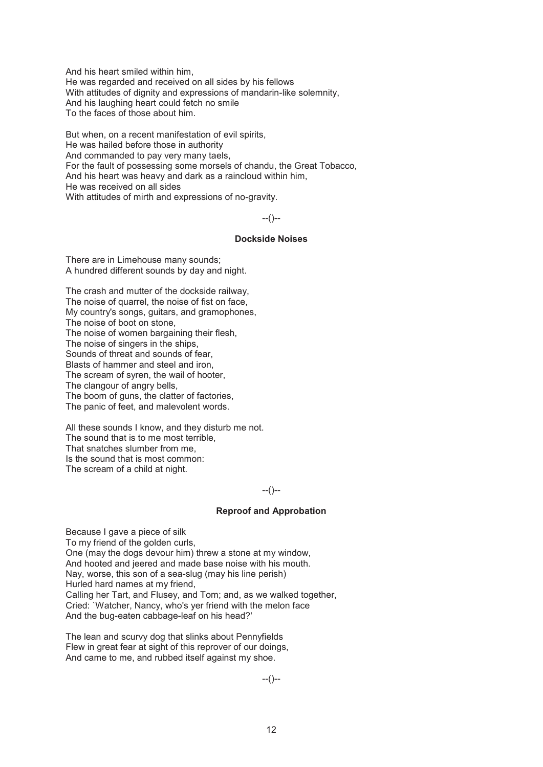And his heart smiled within him, He was regarded and received on all sides by his fellows With attitudes of dignity and expressions of mandarin-like solemnity, And his laughing heart could fetch no smile To the faces of those about him.

But when, on a recent manifestation of evil spirits, He was hailed before those in authority And commanded to pay very many taels, For the fault of possessing some morsels of chandu, the Great Tobacco, And his heart was heavy and dark as a raincloud within him, He was received on all sides With attitudes of mirth and expressions of no-gravity.

 $-(-)$ 

# **Dockside Noises**

There are in Limehouse many sounds; A hundred different sounds by day and night.

The crash and mutter of the dockside railway, The noise of quarrel, the noise of fist on face, My country's songs, guitars, and gramophones, The noise of boot on stone, The noise of women bargaining their flesh, The noise of singers in the ships, Sounds of threat and sounds of fear, Blasts of hammer and steel and iron, The scream of syren, the wail of hooter, The clangour of angry bells, The boom of guns, the clatter of factories. The panic of feet, and malevolent words.

All these sounds I know, and they disturb me not. The sound that is to me most terrible, That snatches slumber from me, Is the sound that is most common: The scream of a child at night.

 $-(-)$ 

#### **Reproof and Approbation**

Because I gave a piece of silk To my friend of the golden curls, One (may the dogs devour him) threw a stone at my window, And hooted and jeered and made base noise with his mouth. Nay, worse, this son of a sea-slug (may his line perish) Hurled hard names at my friend, Calling her Tart, and Flusey, and Tom; and, as we walked together, Cried: `Watcher, Nancy, who's yer friend with the melon face And the bug-eaten cabbage-leaf on his head?'

The lean and scurvy dog that slinks about Pennyfields Flew in great fear at sight of this reprover of our doings, And came to me, and rubbed itself against my shoe.

--()--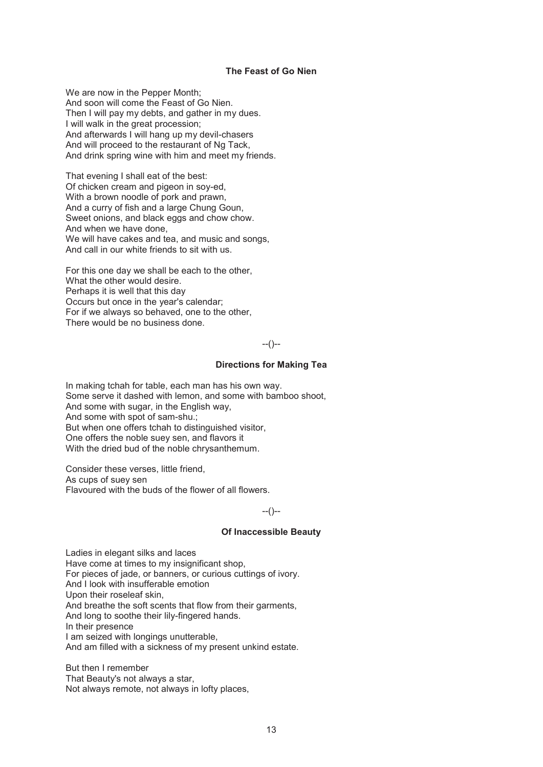# **The Feast of Go Nien**

We are now in the Pepper Month; And soon will come the Feast of Go Nien. Then I will pay my debts, and gather in my dues. I will walk in the great procession; And afterwards I will hang up my devil-chasers And will proceed to the restaurant of Ng Tack, And drink spring wine with him and meet my friends.

That evening I shall eat of the best: Of chicken cream and pigeon in soy-ed, With a brown noodle of pork and prawn. And a curry of fish and a large Chung Goun, Sweet onions, and black eggs and chow chow. And when we have done, We will have cakes and tea, and music and songs, And call in our white friends to sit with us.

For this one day we shall be each to the other, What the other would desire. Perhaps it is well that this day Occurs but once in the year's calendar; For if we always so behaved, one to the other, There would be no business done.

 $-(-)$ 

# **Directions for Making Tea**

In making tchah for table, each man has his own way. Some serve it dashed with lemon, and some with bamboo shoot, And some with sugar, in the English way, And some with spot of sam-shu.; But when one offers tchah to distinguished visitor, One offers the noble suey sen, and flavors it With the dried bud of the noble chrysanthemum.

Consider these verses, little friend, As cups of suey sen Flavoured with the buds of the flower of all flowers.

#### --()--

#### **Of Inaccessible Beauty**

Ladies in elegant silks and laces Have come at times to my insignificant shop, For pieces of jade, or banners, or curious cuttings of ivory. And I look with insufferable emotion Upon their roseleaf skin, And breathe the soft scents that flow from their garments, And long to soothe their lily-fingered hands. In their presence I am seized with longings unutterable, And am filled with a sickness of my present unkind estate.

But then I remember That Beauty's not always a star, Not always remote, not always in lofty places,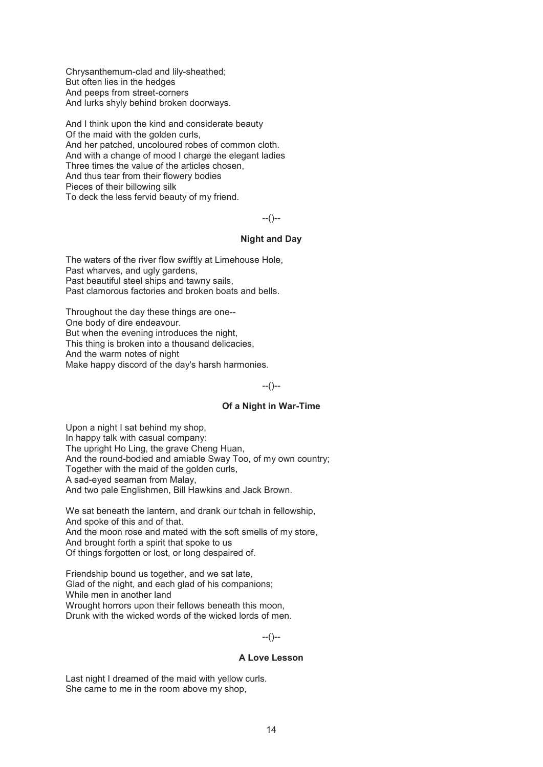Chrysanthemum-clad and lily-sheathed; But often lies in the hedges And peeps from street-corners And lurks shyly behind broken doorways.

And I think upon the kind and considerate beauty Of the maid with the golden curls, And her patched, uncoloured robes of common cloth. And with a change of mood I charge the elegant ladies Three times the value of the articles chosen, And thus tear from their flowery bodies Pieces of their billowing silk To deck the less fervid beauty of my friend.

--()--

# **Night and Day**

The waters of the river flow swiftly at Limehouse Hole, Past wharves, and ugly gardens, Past beautiful steel ships and tawny sails, Past clamorous factories and broken boats and bells.

Throughout the day these things are one-- One body of dire endeavour. But when the evening introduces the night, This thing is broken into a thousand delicacies, And the warm notes of night Make happy discord of the day's harsh harmonies.

# $-(-)$

#### **Of a Night in War-Time**

Upon a night I sat behind my shop, In happy talk with casual company: The upright Ho Ling, the grave Cheng Huan, And the round-bodied and amiable Sway Too, of my own country; Together with the maid of the golden curls, A sad-eyed seaman from Malay, And two pale Englishmen, Bill Hawkins and Jack Brown.

We sat beneath the lantern, and drank our tchah in fellowship, And spoke of this and of that. And the moon rose and mated with the soft smells of my store, And brought forth a spirit that spoke to us Of things forgotten or lost, or long despaired of.

Friendship bound us together, and we sat late, Glad of the night, and each glad of his companions; While men in another land Wrought horrors upon their fellows beneath this moon, Drunk with the wicked words of the wicked lords of men.

# $-(-)$

### **A Love Lesson**

Last night I dreamed of the maid with yellow curls. She came to me in the room above my shop,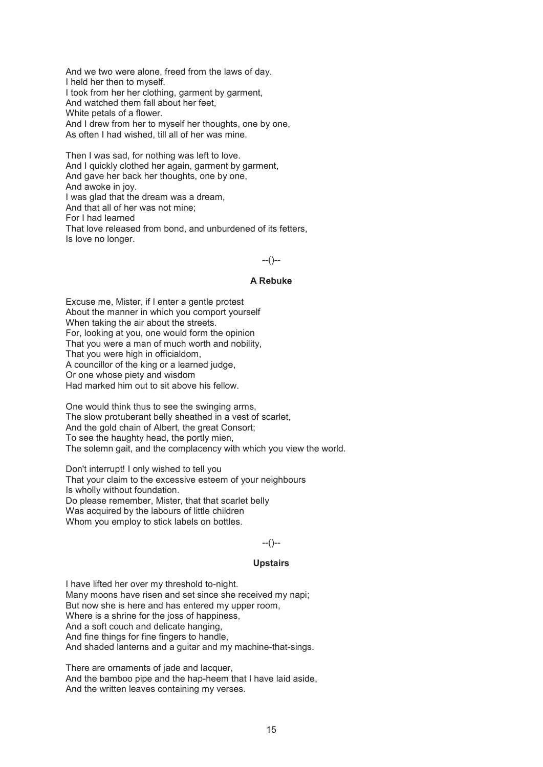And we two were alone, freed from the laws of day. I held her then to myself. I took from her her clothing, garment by garment, And watched them fall about her feet, White petals of a flower. And I drew from her to myself her thoughts, one by one, As often I had wished, till all of her was mine.

Then I was sad, for nothing was left to love. And I quickly clothed her again, garment by garment, And gave her back her thoughts, one by one, And awoke in joy. I was glad that the dream was a dream, And that all of her was not mine; For I had learned That love released from bond, and unburdened of its fetters, Is love no longer.

# $-(-)$

#### **A Rebuke**

Excuse me, Mister, if I enter a gentle protest About the manner in which you comport yourself When taking the air about the streets. For, looking at you, one would form the opinion That you were a man of much worth and nobility, That you were high in officialdom, A councillor of the king or a learned judge, Or one whose piety and wisdom Had marked him out to sit above his fellow.

One would think thus to see the swinging arms, The slow protuberant belly sheathed in a vest of scarlet, And the gold chain of Albert, the great Consort; To see the haughty head, the portly mien, The solemn gait, and the complacency with which you view the world.

Don't interrupt! I only wished to tell you That your claim to the excessive esteem of your neighbours Is wholly without foundation. Do please remember, Mister, that that scarlet belly Was acquired by the labours of little children Whom you employ to stick labels on bottles.

# $-(-)$

# **Upstairs**

I have lifted her over my threshold to-night. Many moons have risen and set since she received my napi; But now she is here and has entered my upper room, Where is a shrine for the joss of happiness. And a soft couch and delicate hanging, And fine things for fine fingers to handle, And shaded lanterns and a guitar and my machine-that-sings.

There are ornaments of jade and lacquer, And the bamboo pipe and the hap-heem that I have laid aside, And the written leaves containing my verses.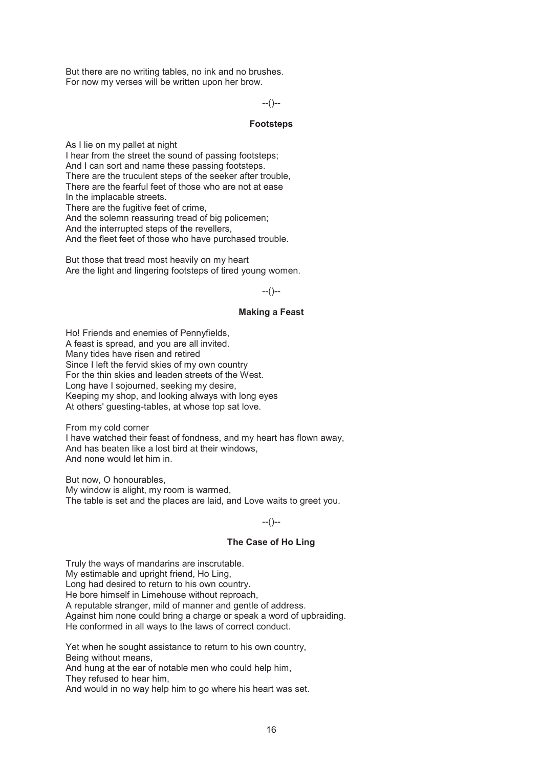But there are no writing tables, no ink and no brushes. For now my verses will be written upon her brow.

 $-(-)$ 

## **Footsteps**

As I lie on my pallet at night

I hear from the street the sound of passing footsteps; And I can sort and name these passing footsteps. There are the truculent steps of the seeker after trouble, There are the fearful feet of those who are not at ease In the implacable streets.

There are the fugitive feet of crime,

And the solemn reassuring tread of big policemen;

And the interrupted steps of the revellers,

And the fleet feet of those who have purchased trouble.

But those that tread most heavily on my heart Are the light and lingering footsteps of tired young women.

--()--

#### **Making a Feast**

Ho! Friends and enemies of Pennyfields, A feast is spread, and you are all invited. Many tides have risen and retired Since I left the fervid skies of my own country For the thin skies and leaden streets of the West. Long have I sojourned, seeking my desire, Keeping my shop, and looking always with long eyes At others' guesting-tables, at whose top sat love.

From my cold corner

I have watched their feast of fondness, and my heart has flown away, And has beaten like a lost bird at their windows, And none would let him in.

But now, O honourables, My window is alight, my room is warmed, The table is set and the places are laid, and Love waits to greet you.

 $-(-)$ 

# **The Case of Ho Ling**

Truly the ways of mandarins are inscrutable. My estimable and upright friend, Ho Ling, Long had desired to return to his own country. He bore himself in Limehouse without reproach, A reputable stranger, mild of manner and gentle of address. Against him none could bring a charge or speak a word of upbraiding. He conformed in all ways to the laws of correct conduct.

Yet when he sought assistance to return to his own country, Being without means, And hung at the ear of notable men who could help him, They refused to hear him,

And would in no way help him to go where his heart was set.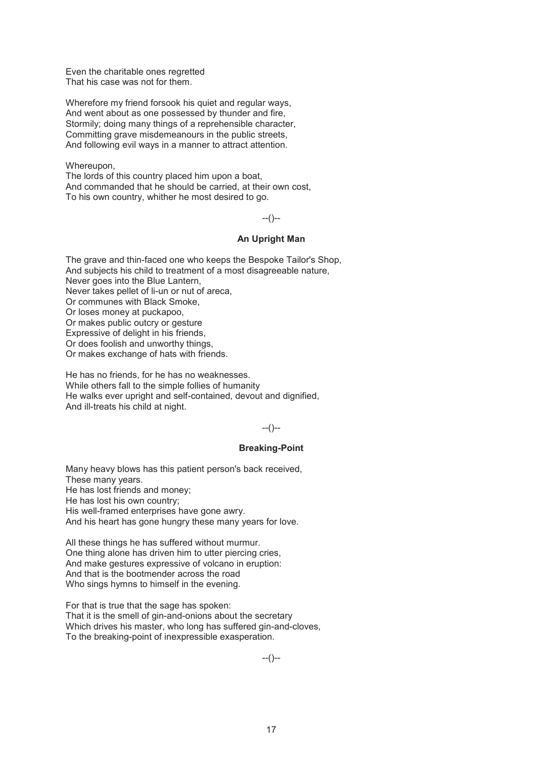Even the charitable ones regretted That his case was not for them.

Wherefore my friend forsook his quiet and regular ways, And went about as one possessed by thunder and fire, Stormily; doing many things of a reprehensible character, Committing grave misdemeanours in the public streets, And following evil ways in a manner to attract attention.

Whereupon,

The lords of this country placed him upon a boat, And commanded that he should be carried, at their own cost, To his own country, whither he most desired to go.

 $-(-)$ 

# **An Upright Man**

The grave and thin-faced one who keeps the Bespoke Tailor's Shop, And subjects his child to treatment of a most disagreeable nature, Never goes into the Blue Lantern, Never takes pellet of li-un or nut of areca, Or communes with Black Smoke, Or loses money at puckapoo, Or makes public outcry or gesture Expressive of delight in his friends, Or does foolish and unworthy things, Or makes exchange of hats with friends.

He has no friends, for he has no weaknesses. While others fall to the simple follies of humanity He walks ever upright and self-contained, devout and dignified, And ill-treats his child at night.

# $-(-)$

#### **Breaking-Point**

Many heavy blows has this patient person's back received, These many years. He has lost friends and money; He has lost his own country; His well-framed enterprises have gone awry. And his heart has gone hungry these many years for love.

All these things he has suffered without murmur. One thing alone has driven him to utter piercing cries, And make gestures expressive of volcano in eruption: And that is the bootmender across the road Who sings hymns to himself in the evening.

For that is true that the sage has spoken: That it is the smell of gin-and-onions about the secretary Which drives his master, who long has suffered gin-and-cloves, To the breaking-point of inexpressible exasperation.

--()--